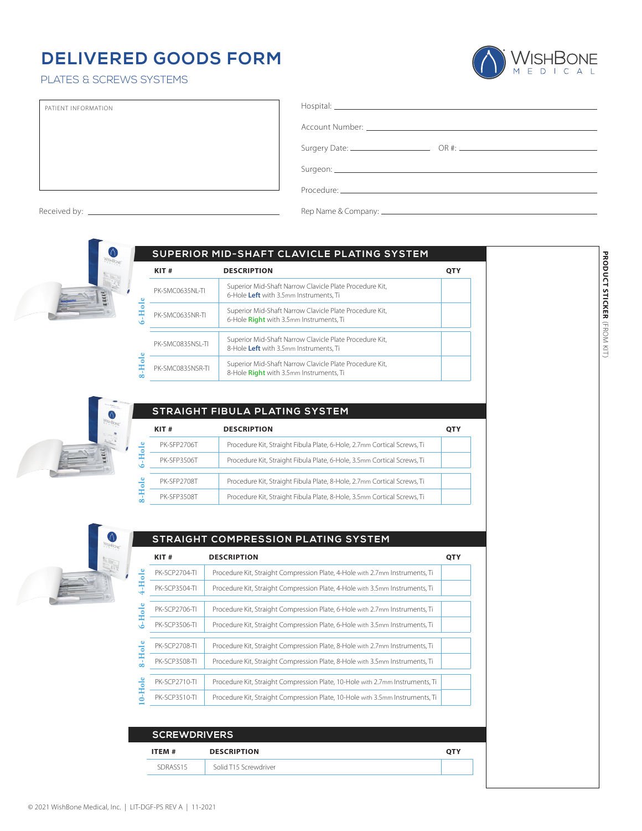## **DELIVERED GOODS FORM**

## PLATES & SCREWS SYSTEMS



| PATIENT INFORMATION | $\qquad \qquad \text{Hospital:}\qquad \qquad \text{---} \qquad \qquad \text{---} \qquad \qquad \text{---} \qquad \qquad \text{---} \qquad \qquad \text{---} \qquad \qquad \text{---} \qquad \qquad \text{---} \qquad \qquad \text{---} \qquad \qquad \text{---} \qquad \qquad \text{---} \qquad \qquad \text{---} \qquad \qquad \text{---} \qquad \qquad \text{---} \qquad \qquad \text{---} \qquad \qquad \text{---} \qquad \text{---} \qquad \qquad \text{---} \qquad \text{---} \qquad \text{---} \qquad \text{---} \$ |
|---------------------|---------------------------------------------------------------------------------------------------------------------------------------------------------------------------------------------------------------------------------------------------------------------------------------------------------------------------------------------------------------------------------------------------------------------------------------------------------------------------------------------------------------------------|
|                     |                                                                                                                                                                                                                                                                                                                                                                                                                                                                                                                           |
|                     |                                                                                                                                                                                                                                                                                                                                                                                                                                                                                                                           |
|                     |                                                                                                                                                                                                                                                                                                                                                                                                                                                                                                                           |
|                     | Procedure: The contract of the contract of the contract of the contract of the contract of the contract of the                                                                                                                                                                                                                                                                                                                                                                                                            |

Received by: Rep Name & Company:



|                  | SUPERIOR MID-SHAFT CLAVICLE PLATING SYSTEM                                                         |            |
|------------------|----------------------------------------------------------------------------------------------------|------------|
| KIT#             | <b>DESCRIPTION</b>                                                                                 | <b>OTY</b> |
| PK-SMC0635NI-TI  | Superior Mid-Shaft Narrow Clavicle Plate Procedure Kit,<br>6-Hole Left with 3.5mm Instruments, Ti  |            |
| PK-SMC0635NR-TI  | Superior Mid-Shaft Narrow Clavicle Plate Procedure Kit,<br>6-Hole Right with 3.5mm Instruments, Ti |            |
| PK-SMC0835NSL-TI | Superior Mid-Shaft Narrow Clavicle Plate Procedure Kit,<br>8-Hole Left with 3.5mm Instruments, Ti  |            |
| PK-SMC0835NSR-TI | Superior Mid-Shaft Narrow Clavicle Plate Procedure Kit,<br>8-Hole Right with 3.5mm Instruments, Ti |            |



|                  |             | STRAIGHT FIBULA PLATING SYSTEM                                          |     |
|------------------|-------------|-------------------------------------------------------------------------|-----|
|                  | KIT#        | <b>DESCRIPTION</b>                                                      | ОТҮ |
| $\frac{e}{c}$    | PK-SFP2706T | Procedure Kit, Straight Fibula Plate, 6-Hole, 2.7mm Cortical Screws, Ti |     |
| Ę                | PK-SFP3506T | Procedure Kit, Straight Fibula Plate, 6-Hole, 3.5mm Cortical Screws, Ti |     |
|                  | PK-SFP2708T | Procedure Kit, Straight Fibula Plate, 8-Hole, 2.7mm Cortical Screws, Ti |     |
| Hole<br>$\alpha$ | PK-SFP3508T | Procedure Kit, Straight Fibula Plate, 8-Hole, 3.5mm Cortical Screws, Ti |     |



|        | STRAIGHT COMPRESSION PLATING SYSTEM |                                                                               |            |
|--------|-------------------------------------|-------------------------------------------------------------------------------|------------|
|        | KIT#                                | <b>DESCRIPTION</b>                                                            | <b>OTY</b> |
|        | PK-SCP2704-TI                       | Procedure Kit, Straight Compression Plate, 4-Hole with 2.7mm Instruments, Ti  |            |
| -Hol   | PK-SCP3504-TI                       | Procedure Kit, Straight Compression Plate, 4-Hole with 3.5mm Instruments, Ti  |            |
|        | PK-SCP2706-TL                       | Procedure Kit, Straight Compression Plate, 6-Hole with 2.7mm Instruments, Ti  |            |
| 6-Hole | <b>PK-SCP3506-TI</b>                | Procedure Kit, Straight Compression Plate, 6-Hole with 3.5mm Instruments, Ti  |            |
|        | <b>PK-SCP2708-TI</b>                | Procedure Kit, Straight Compression Plate, 8-Hole with 2.7mm Instruments, Ti  |            |
| 8-Hol  | <b>PK-SCP3508-TI</b>                | Procedure Kit, Straight Compression Plate, 8-Hole with 3.5mm Instruments, Ti  |            |
|        | <b>PK-SCP2710-TI</b>                | Procedure Kit, Straight Compression Plate, 10-Hole with 2.7mm Instruments, Ti |            |
| 0-Hole | <b>PK-SCP3510-TI</b>                | Procedure Kit, Straight Compression Plate, 10-Hole with 3.5mm Instruments, Ti |            |

| <b>SCREWDRIVERS</b>          |                       |     |
|------------------------------|-----------------------|-----|
| <b>DESCRIPTION</b><br>ITEM # |                       | ОТҮ |
| SDRASS15                     | Solid T15 Screwdriver |     |